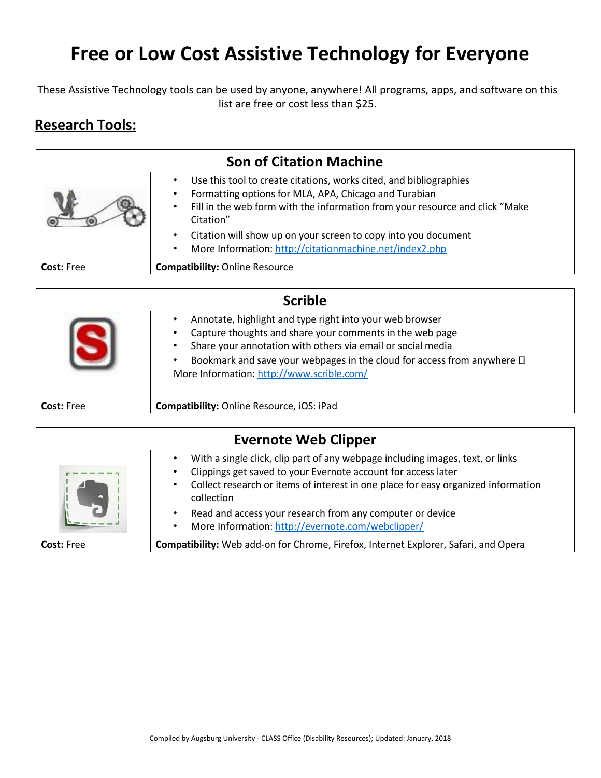## **Free or Low Cost Assistive Technology for Everyone**

These Assistive Technology tools can be used by anyone, anywhere! All programs, apps, and software on this list are free or cost less than \$25.

## **Research Tools:**

|                   | <b>Son of Citation Machine</b>                                                                                                                                                                                                                     |
|-------------------|----------------------------------------------------------------------------------------------------------------------------------------------------------------------------------------------------------------------------------------------------|
|                   | Use this tool to create citations, works cited, and bibliographies<br>Formatting options for MLA, APA, Chicago and Turabian<br>$\bullet$<br>Fill in the web form with the information from your resource and click "Make<br>$\bullet$<br>Citation" |
|                   | Citation will show up on your screen to copy into you document<br>$\bullet$<br>More Information: http://citationmachine.net/index2.php<br>$\bullet$                                                                                                |
| <b>Cost: Free</b> | <b>Compatibility: Online Resource</b>                                                                                                                                                                                                              |

| <b>Scrible</b>    |                                                                                                                                                                                                                                                                                                                                  |
|-------------------|----------------------------------------------------------------------------------------------------------------------------------------------------------------------------------------------------------------------------------------------------------------------------------------------------------------------------------|
|                   | Annotate, highlight and type right into your web browser<br>$\bullet$<br>Capture thoughts and share your comments in the web page<br>Share your annotation with others via email or social media<br>Bookmark and save your webpages in the cloud for access from anywhere $\square$<br>More Information: http://www.scrible.com/ |
| <b>Cost: Free</b> | Compatibility: Online Resource, iOS: iPad                                                                                                                                                                                                                                                                                        |

|                   | <b>Evernote Web Clipper</b>                                                                                                                                                                                                                                     |
|-------------------|-----------------------------------------------------------------------------------------------------------------------------------------------------------------------------------------------------------------------------------------------------------------|
|                   | With a single click, clip part of any webpage including images, text, or links<br>Clippings get saved to your Evernote account for access later<br>Collect research or items of interest in one place for easy organized information<br>$\bullet$<br>collection |
|                   | Read and access your research from any computer or device<br>$\bullet$<br>More Information: http://evernote.com/webclipper/<br>$\bullet$                                                                                                                        |
| <b>Cost: Free</b> | Compatibility: Web add-on for Chrome, Firefox, Internet Explorer, Safari, and Opera                                                                                                                                                                             |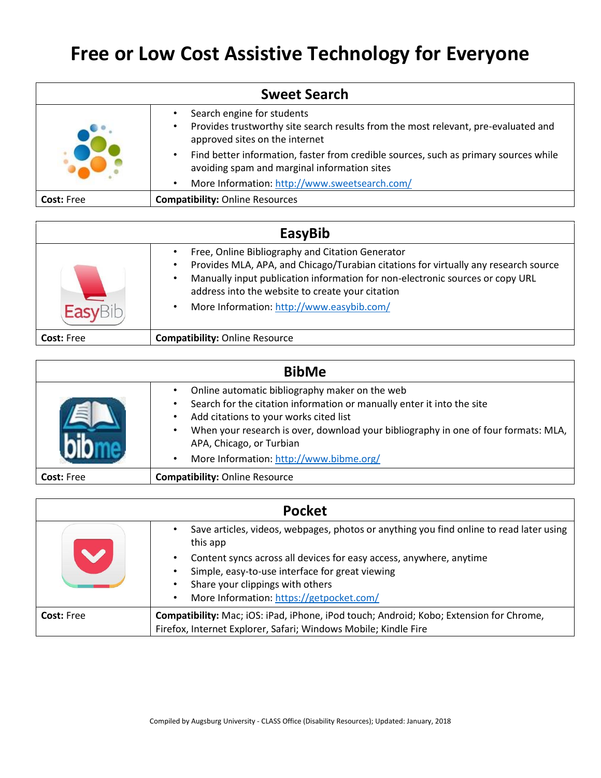## **Free or Low Cost Assistive Technology for Everyone**

| <b>Sweet Search</b> |                                                                                                                                                                 |
|---------------------|-----------------------------------------------------------------------------------------------------------------------------------------------------------------|
|                     | Search engine for students<br>Provides trustworthy site search results from the most relevant, pre-evaluated and<br>$\bullet$<br>approved sites on the internet |
|                     | Find better information, faster from credible sources, such as primary sources while<br>$\bullet$<br>avoiding spam and marginal information sites               |
|                     | More Information: http://www.sweetsearch.com/<br>$\bullet$                                                                                                      |
| <b>Cost: Free</b>   | <b>Compatibility: Online Resources</b>                                                                                                                          |

| EasyBib           |                                                                                                                                                                                                                                                                                                                           |
|-------------------|---------------------------------------------------------------------------------------------------------------------------------------------------------------------------------------------------------------------------------------------------------------------------------------------------------------------------|
|                   | Free, Online Bibliography and Citation Generator<br>Provides MLA, APA, and Chicago/Turabian citations for virtually any research source<br>Manually input publication information for non-electronic sources or copy URL<br>address into the website to create your citation<br>More Information: http://www.easybib.com/ |
| <b>Cost: Free</b> | <b>Compatibility: Online Resource</b>                                                                                                                                                                                                                                                                                     |

| <b>BibMe</b>      |                                                                                                                                                                                                                                                                                                                                                                                           |
|-------------------|-------------------------------------------------------------------------------------------------------------------------------------------------------------------------------------------------------------------------------------------------------------------------------------------------------------------------------------------------------------------------------------------|
|                   | Online automatic bibliography maker on the web<br>$\bullet$<br>Search for the citation information or manually enter it into the site<br>$\bullet$<br>Add citations to your works cited list<br>$\bullet$<br>When your research is over, download your bibliography in one of four formats: MLA,<br>٠<br>APA, Chicago, or Turbian<br>More Information: http://www.bibme.org/<br>$\bullet$ |
| <b>Cost: Free</b> | <b>Compatibility: Online Resource</b>                                                                                                                                                                                                                                                                                                                                                     |

| <b>Pocket</b>     |                                                                                                     |
|-------------------|-----------------------------------------------------------------------------------------------------|
|                   | Save articles, videos, webpages, photos or anything you find online to read later using<br>this app |
|                   | Content syncs across all devices for easy access, anywhere, anytime                                 |
|                   | Simple, easy-to-use interface for great viewing                                                     |
|                   | Share your clippings with others                                                                    |
|                   | More Information: https://getpocket.com/<br>$\bullet$                                               |
| <b>Cost: Free</b> | Compatibility: Mac; iOS: iPad, iPhone, iPod touch; Android; Kobo; Extension for Chrome,             |
|                   | Firefox, Internet Explorer, Safari; Windows Mobile; Kindle Fire                                     |